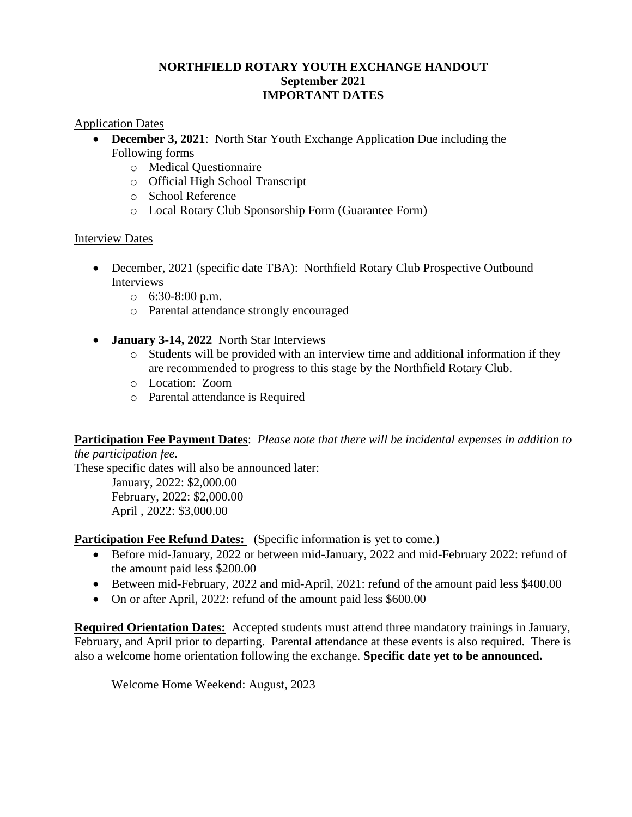### **NORTHFIELD ROTARY YOUTH EXCHANGE HANDOUT September 2021 IMPORTANT DATES**

#### Application Dates

- **December 3, 2021**: North Star Youth Exchange Application Due including the Following forms
	- o Medical Questionnaire
	- o Official High School Transcript
	- o School Reference
	- o Local Rotary Club Sponsorship Form (Guarantee Form)

## Interview Dates

- December, 2021 (specific date TBA): Northfield Rotary Club Prospective Outbound Interviews
	- $\circ$  6:30-8:00 p.m.
	- o Parental attendance strongly encouraged
- **January 3-14, 2022** North Star Interviews
	- $\circ$  Students will be provided with an interview time and additional information if they are recommended to progress to this stage by the Northfield Rotary Club.
	- o Location: Zoom
	- o Parental attendance is Required

**Participation Fee Payment Dates**: *Please note that there will be incidental expenses in addition to* 

*the participation fee.*  These specific dates will also be announced later: January, 2022: \$2,000.00 February, 2022: \$2,000.00 April , 2022: \$3,000.00

**Participation Fee Refund Dates:** (Specific information is yet to come.)

- Before mid-January, 2022 or between mid-January, 2022 and mid-February 2022: refund of the amount paid less \$200.00
- Between mid-February, 2022 and mid-April, 2021: refund of the amount paid less \$400.00
- On or after April, 2022: refund of the amount paid less \$600.00

**Required Orientation Dates:** Accepted students must attend three mandatory trainings in January, February, and April prior to departing. Parental attendance at these events is also required. There is also a welcome home orientation following the exchange. **Specific date yet to be announced.**

Welcome Home Weekend: August, 2023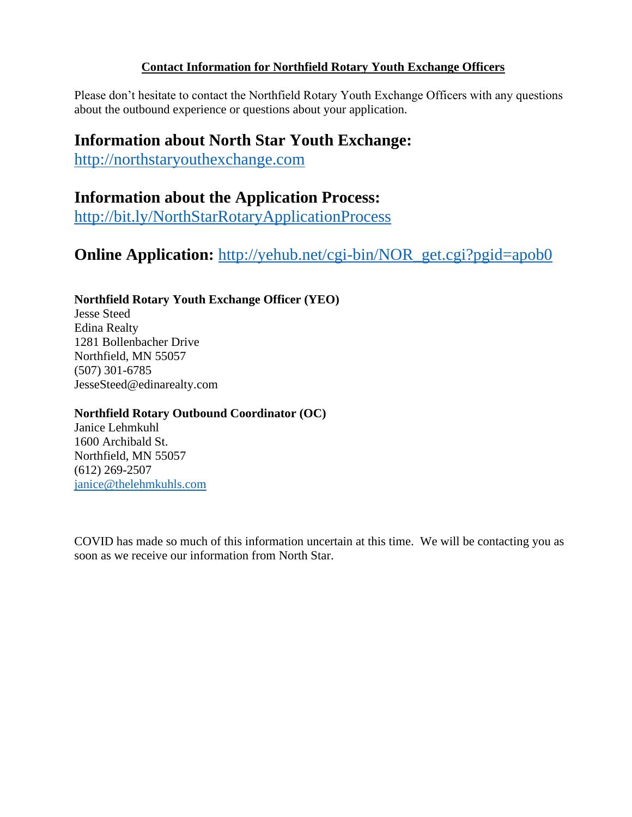## **Contact Information for Northfield Rotary Youth Exchange Officers**

Please don't hesitate to contact the Northfield Rotary Youth Exchange Officers with any questions about the outbound experience or questions about your application.

# **Information about North Star Youth Exchange:**

[http://northstaryouthexchange.com](http://northstaryouthexchange.com/)

# **Information about the Application Process:**

<http://bit.ly/NorthStarRotaryApplicationProcess>

# **Online Application:** [http://yehub.net/cgi-bin/NOR\\_get.cgi?pgid=apob0](http://yehub.net/cgi-bin/NOR_get.cgi?pgid=apob0)

# **Northfield Rotary Youth Exchange Officer (YEO)**

Jesse Steed Edina Realty 1281 Bollenbacher Drive Northfield, MN 55057 (507) 301-6785 JesseSteed@edinarealty.com

# **Northfield Rotary Outbound Coordinator (OC)**

Janice Lehmkuhl 1600 Archibald St. Northfield, MN 55057 (612) 269-2507 [janice@thelehmkuhls.com](mailto:janice@thelehmkuhls.com)

COVID has made so much of this information uncertain at this time. We will be contacting you as soon as we receive our information from North Star.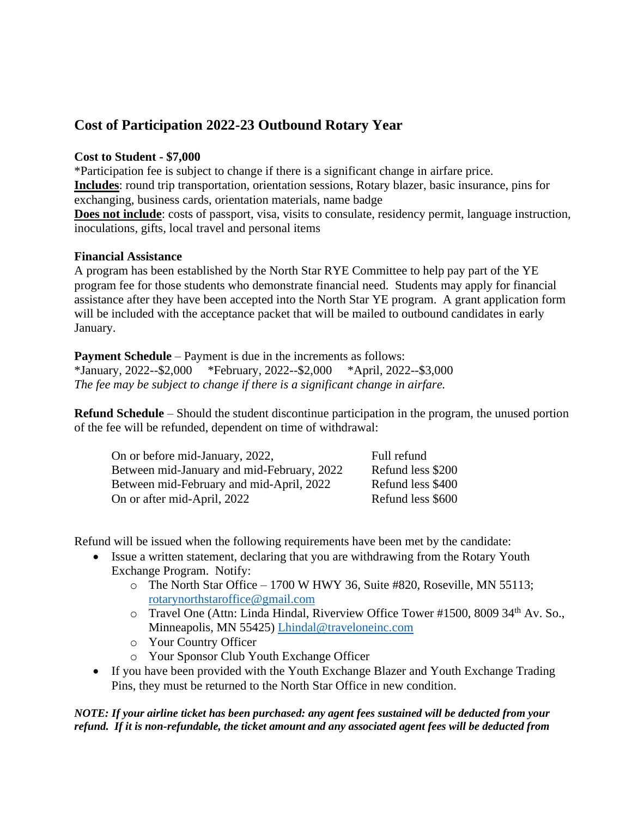# **Cost of Participation 2022-23 Outbound Rotary Year**

#### **Cost to Student - \$7,000**

\*Participation fee is subject to change if there is a significant change in airfare price. **Includes**: round trip transportation, orientation sessions, Rotary blazer, basic insurance, pins for exchanging, business cards, orientation materials, name badge **Does not include**: costs of passport, visa, visits to consulate, residency permit, language instruction, inoculations, gifts, local travel and personal items

#### **Financial Assistance**

A program has been established by the North Star RYE Committee to help pay part of the YE program fee for those students who demonstrate financial need. Students may apply for financial assistance after they have been accepted into the North Star YE program. A grant application form will be included with the acceptance packet that will be mailed to outbound candidates in early January.

**Payment Schedule** – Payment is due in the increments as follows: \*January, 2022--\$2,000 \*February, 2022--\$2,000 \*April, 2022--\$3,000 *The fee may be subject to change if there is a significant change in airfare.*

**Refund Schedule** – Should the student discontinue participation in the program, the unused portion of the fee will be refunded, dependent on time of withdrawal:

| On or before mid-January, 2022,            | Full refund       |
|--------------------------------------------|-------------------|
| Between mid-January and mid-February, 2022 | Refund less \$200 |
| Between mid-February and mid-April, 2022   | Refund less \$400 |
| On or after mid-April, 2022                | Refund less \$600 |

Refund will be issued when the following requirements have been met by the candidate:

- Issue a written statement, declaring that you are withdrawing from the Rotary Youth Exchange Program. Notify:
	- o The North Star Office 1700 W HWY 36, Suite #820, Roseville, MN 55113; [rotarynorthstaroffice@gmail.com](mailto:rotarynorthstaroffice@gmail.com)
	- o Travel One (Attn: Linda Hindal, Riverview Office Tower #1500, 8009 34th Av. So., Minneapolis, MN 55425) [Lhindal@traveloneinc.com](mailto:Lhindal@traveloneinc.com)
	- o Your Country Officer
	- o Your Sponsor Club Youth Exchange Officer
- If you have been provided with the Youth Exchange Blazer and Youth Exchange Trading Pins, they must be returned to the North Star Office in new condition.

*NOTE: If your airline ticket has been purchased: any agent fees sustained will be deducted from your refund. If it is non-refundable, the ticket amount and any associated agent fees will be deducted from*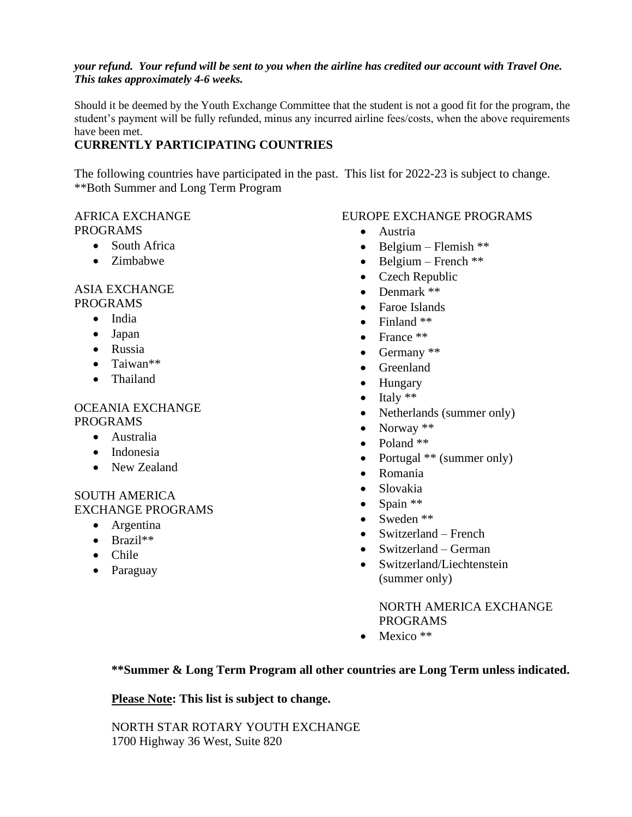#### *your refund. Your refund will be sent to you when the airline has credited our account with Travel One. This takes approximately 4-6 weeks.*

Should it be deemed by the Youth Exchange Committee that the student is not a good fit for the program, the student's payment will be fully refunded, minus any incurred airline fees/costs, when the above requirements have been met.

# **CURRENTLY PARTICIPATING COUNTRIES**

The following countries have participated in the past. This list for 2022-23 is subject to change. \*\*Both Summer and Long Term Program

### AFRICA EXCHANGE PROGRAMS

- South Africa
- Zimbabwe

#### ASIA EXCHANGE PROGRAMS

• India

- Japan
- Russia
- Taiwan\*\*
- Thailand

# OCEANIA EXCHANGE PROGRAMS

- Australia
- Indonesia
- New Zealand

#### SOUTH AMERICA EXCHANGE PROGRAMS

- Argentina
- Brazil\*\*
- Chile
- Paraguay

# EUROPE EXCHANGE PROGRAMS

- Austria
- Belgium Flemish  $**$
- Belgium French  $**$
- Czech Republic
- Denmark \*\*
- Faroe Islands
- Finland \*\*
- France \*\*
- Germany \*\*
- Greenland
- Hungary
- $\bullet$  Italy  $**$
- Netherlands (summer only)
- Norway \*\*
- Poland \*\*
- Portugal \*\* (summer only)
- Romania
- Slovakia
- $\bullet$  Spain \*\*
- Sweden \*\*
- Switzerland French
- Switzerland German
- Switzerland/Liechtenstein (summer only)

NORTH AMERICA EXCHANGE PROGRAMS

• Mexico \*\*

## **\*\*Summer & Long Term Program all other countries are Long Term unless indicated.**

## **Please Note: This list is subject to change.**

NORTH STAR ROTARY YOUTH EXCHANGE 1700 Highway 36 West, Suite 820